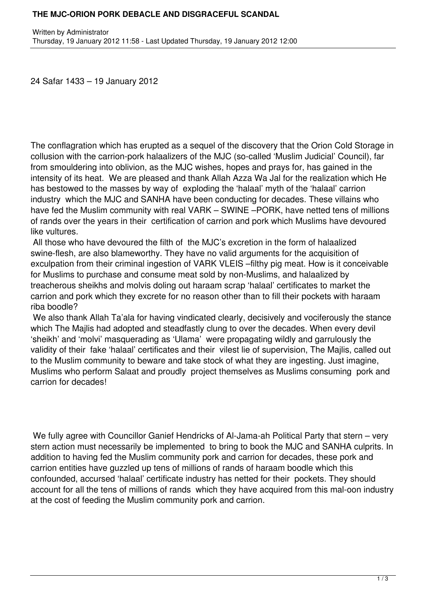## **THE MJC-ORION PORK DEBACLE AND DISGRACEFUL SCANDAL**

24 Safar 1433 – 19 January 2012

The conflagration which has erupted as a sequel of the discovery that the Orion Cold Storage in collusion with the carrion-pork halaalizers of the MJC (so-called 'Muslim Judicial' Council), far from smouldering into oblivion, as the MJC wishes, hopes and prays for, has gained in the intensity of its heat. We are pleased and thank Allah Azza Wa Jal for the realization which He has bestowed to the masses by way of exploding the 'halaal' myth of the 'halaal' carrion industry which the MJC and SANHA have been conducting for decades. These villains who have fed the Muslim community with real VARK – SWINE –PORK, have netted tens of millions of rands over the years in their certification of carrion and pork which Muslims have devoured like vultures.

 All those who have devoured the filth of the MJC's excretion in the form of halaalized swine-flesh, are also blameworthy. They have no valid arguments for the acquisition of exculpation from their criminal ingestion of VARK VLEIS –filthy pig meat. How is it conceivable for Muslims to purchase and consume meat sold by non-Muslims, and halaalized by treacherous sheikhs and molvis doling out haraam scrap 'halaal' certificates to market the carrion and pork which they excrete for no reason other than to fill their pockets with haraam riba boodle?

 We also thank Allah Ta'ala for having vindicated clearly, decisively and vociferously the stance which The Majlis had adopted and steadfastly clung to over the decades. When every devil 'sheikh' and 'molvi' masquerading as 'Ulama' were propagating wildly and garrulously the validity of their fake 'halaal' certificates and their vilest lie of supervision, The Majlis, called out to the Muslim community to beware and take stock of what they are ingesting. Just imagine, Muslims who perform Salaat and proudly project themselves as Muslims consuming pork and carrion for decades!

 We fully agree with Councillor Ganief Hendricks of Al-Jama-ah Political Party that stern – very stern action must necessarily be implemented to bring to book the MJC and SANHA culprits. In addition to having fed the Muslim community pork and carrion for decades, these pork and carrion entities have guzzled up tens of millions of rands of haraam boodle which this confounded, accursed 'halaal' certificate industry has netted for their pockets. They should account for all the tens of millions of rands which they have acquired from this mal-oon industry at the cost of feeding the Muslim community pork and carrion.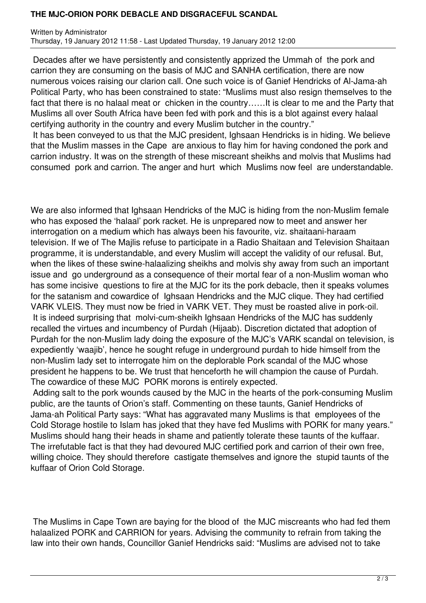## **THE MJC-ORION PORK DEBACLE AND DISGRACEFUL SCANDAL**

Written by Administrator Thursday, 19 January 2012 11:58 - Last Updated Thursday, 19 January 2012 12:00

 Decades after we have persistently and consistently apprized the Ummah of the pork and carrion they are consuming on the basis of MJC and SANHA certification, there are now numerous voices raising our clarion call. One such voice is of Ganief Hendricks of Al-Jama-ah Political Party, who has been constrained to state: "Muslims must also resign themselves to the fact that there is no halaal meat or chicken in the country……It is clear to me and the Party that Muslims all over South Africa have been fed with pork and this is a blot against every halaal certifying authority in the country and every Muslim butcher in the country."

 It has been conveyed to us that the MJC president, Ighsaan Hendricks is in hiding. We believe that the Muslim masses in the Cape are anxious to flay him for having condoned the pork and carrion industry. It was on the strength of these miscreant sheikhs and molvis that Muslims had consumed pork and carrion. The anger and hurt which Muslims now feel are understandable.

We are also informed that Ighsaan Hendricks of the MJC is hiding from the non-Muslim female who has exposed the 'halaal' pork racket. He is unprepared now to meet and answer her interrogation on a medium which has always been his favourite, viz. shaitaani-haraam television. If we of The Majlis refuse to participate in a Radio Shaitaan and Television Shaitaan programme, it is understandable, and every Muslim will accept the validity of our refusal. But, when the likes of these swine-halaalizing sheikhs and molvis shy away from such an important issue and go underground as a consequence of their mortal fear of a non-Muslim woman who has some incisive questions to fire at the MJC for its the pork debacle, then it speaks volumes for the satanism and cowardice of Ighsaan Hendricks and the MJC clique. They had certified VARK VLEIS. They must now be fried in VARK VET. They must be roasted alive in pork-oil. It is indeed surprising that molvi-cum-sheikh Ighsaan Hendricks of the MJC has suddenly recalled the virtues and incumbency of Purdah (Hijaab). Discretion dictated that adoption of Purdah for the non-Muslim lady doing the exposure of the MJC's VARK scandal on television, is expediently 'waajib', hence he sought refuge in underground purdah to hide himself from the non-Muslim lady set to interrogate him on the deplorable Pork scandal of the MJC whose president he happens to be. We trust that henceforth he will champion the cause of Purdah. The cowardice of these MJC PORK morons is entirely expected.

 Adding salt to the pork wounds caused by the MJC in the hearts of the pork-consuming Muslim public, are the taunts of Orion's staff. Commenting on these taunts, Ganief Hendricks of Jama-ah Political Party says: "What has aggravated many Muslims is that employees of the Cold Storage hostile to Islam has joked that they have fed Muslims with PORK for many years." Muslims should hang their heads in shame and patiently tolerate these taunts of the kuffaar. The irrefutable fact is that they had devoured MJC certified pork and carrion of their own free, willing choice. They should therefore castigate themselves and ignore the stupid taunts of the kuffaar of Orion Cold Storage.

 The Muslims in Cape Town are baying for the blood of the MJC miscreants who had fed them halaalized PORK and CARRION for years. Advising the community to refrain from taking the law into their own hands, Councillor Ganief Hendricks said: "Muslims are advised not to take